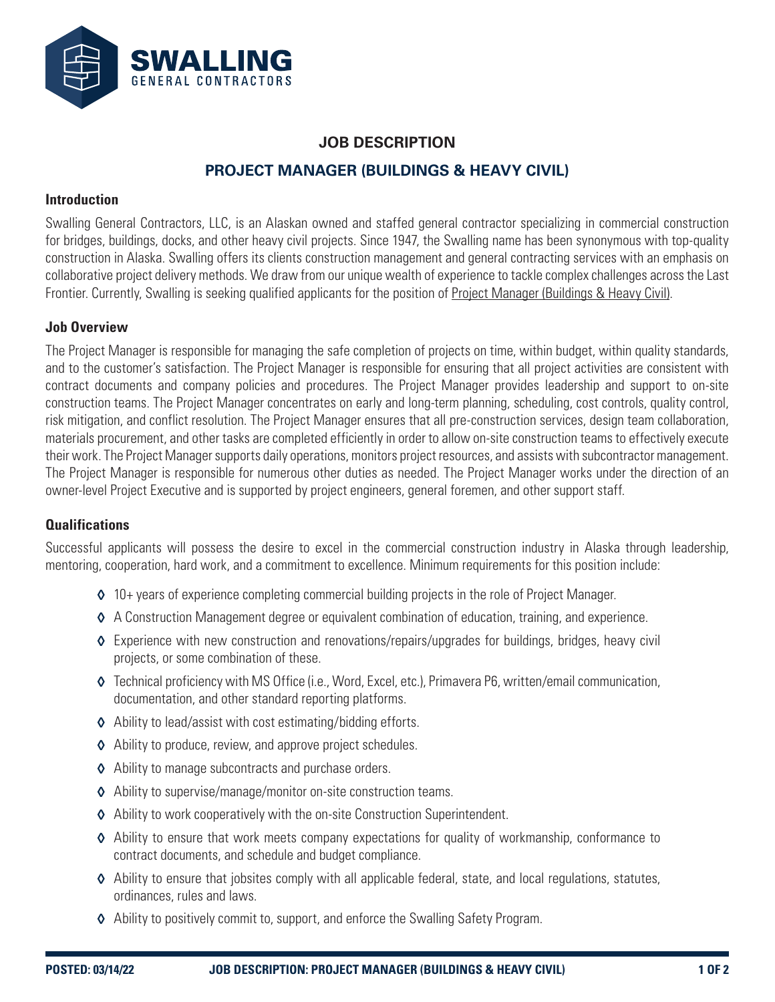

# **JOB DESCRIPTION PROJECT MANAGER (BUILDINGS & HEAVY CIVIL)**

#### **Introduction**

Swalling General Contractors, LLC, is an Alaskan owned and staffed general contractor specializing in commercial construction for bridges, buildings, docks, and other heavy civil projects. Since 1947, the Swalling name has been synonymous with top-quality construction in Alaska. Swalling offers its clients construction management and general contracting services with an emphasis on collaborative project delivery methods. We draw from our unique wealth of experience to tackle complex challenges across the Last Frontier. Currently, Swalling is seeking qualified applicants for the position of Project Manager (Buildings & Heavy Civil).

#### **Job Overview**

The Project Manager is responsible for managing the safe completion of projects on time, within budget, within quality standards, and to the customer's satisfaction. The Project Manager is responsible for ensuring that all project activities are consistent with contract documents and company policies and procedures. The Project Manager provides leadership and support to on-site construction teams. The Project Manager concentrates on early and long-term planning, scheduling, cost controls, quality control, risk mitigation, and conflict resolution. The Project Manager ensures that all pre-construction services, design team collaboration, materials procurement, and other tasks are completed efficiently in order to allow on-site construction teams to effectively execute their work. The Project Manager supports daily operations, monitors project resources, and assists with subcontractor management. The Project Manager is responsible for numerous other duties as needed. The Project Manager works under the direction of an owner-level Project Executive and is supported by project engineers, general foremen, and other support staff.

## **Qualifications**

Successful applicants will possess the desire to excel in the commercial construction industry in Alaska through leadership, mentoring, cooperation, hard work, and a commitment to excellence. Minimum requirements for this position include:

- ◊ 10+ years of experience completing commercial building projects in the role of Project Manager.
- ◊ A Construction Management degree or equivalent combination of education, training, and experience.
- ◊ Experience with new construction and renovations/repairs/upgrades for buildings, bridges, heavy civil projects, or some combination of these.
- ◊ Technical proficiency with MS Office (i.e., Word, Excel, etc.), Primavera P6, written/email communication, documentation, and other standard reporting platforms.
- ◊ Ability to lead/assist with cost estimating/bidding efforts.
- ◊ Ability to produce, review, and approve project schedules.
- ◊ Ability to manage subcontracts and purchase orders.
- ◊ Ability to supervise/manage/monitor on-site construction teams.
- ◊ Ability to work cooperatively with the on-site Construction Superintendent.
- ◊ Ability to ensure that work meets company expectations for quality of workmanship, conformance to contract documents, and schedule and budget compliance.
- ◊ Ability to ensure that jobsites comply with all applicable federal, state, and local regulations, statutes, ordinances, rules and laws.
- ◊ Ability to positively commit to, support, and enforce the Swalling Safety Program.